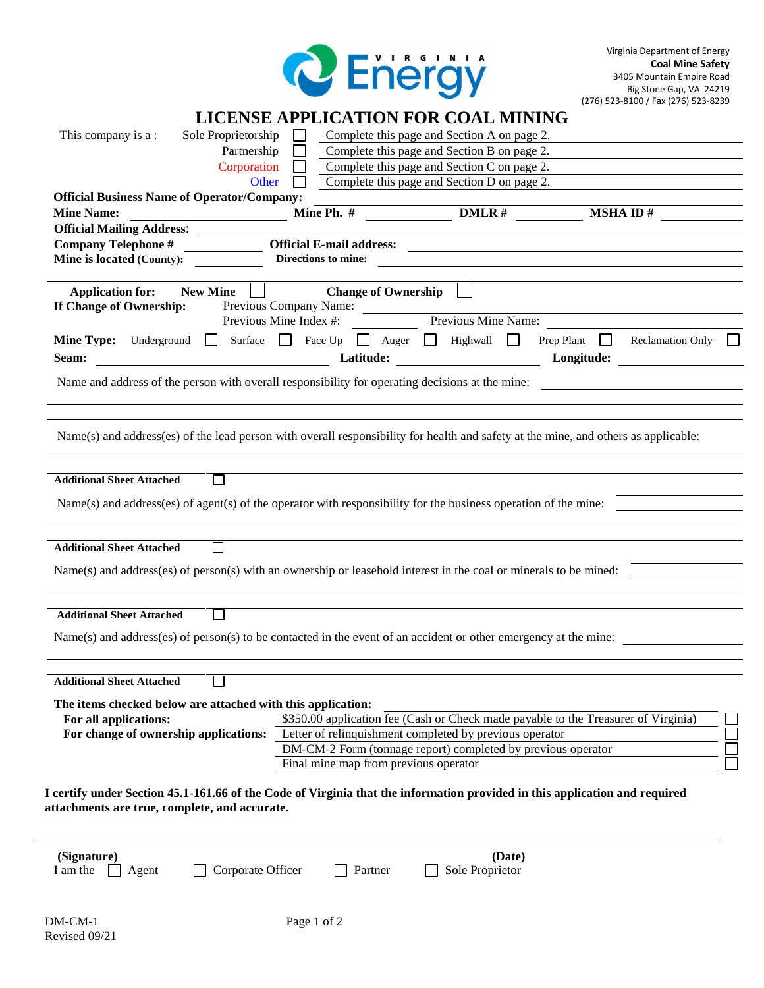

| This company is a:                                                                                                            | Sole Proprietorship<br>Partnership<br>Corporation |                                                      | Complete this page and Section A on page 2.<br>Complete this page and Section B on page 2.<br>Complete this page and Section C on page 2.                        |                                                                                                                                     |
|-------------------------------------------------------------------------------------------------------------------------------|---------------------------------------------------|------------------------------------------------------|------------------------------------------------------------------------------------------------------------------------------------------------------------------|-------------------------------------------------------------------------------------------------------------------------------------|
|                                                                                                                               | Other                                             |                                                      | Complete this page and Section D on page 2.                                                                                                                      |                                                                                                                                     |
| <b>Official Business Name of Operator/Company:</b><br><b>Mine Name:</b>                                                       |                                                   |                                                      | $\frac{1}{2}$ Mine Ph. # DMLR #                                                                                                                                  | $MSHA$ ID $#$                                                                                                                       |
| <b>Official Mailing Address:</b>                                                                                              |                                                   |                                                      |                                                                                                                                                                  |                                                                                                                                     |
| <b>Company Telephone #</b>                                                                                                    |                                                   | <b>Official E-mail address:</b>                      |                                                                                                                                                                  | <u> 1989 - Jan Barnett, fransk politiker (d. 1989)</u>                                                                              |
| Mine is located (County):                                                                                                     |                                                   | Directions to mine:                                  |                                                                                                                                                                  |                                                                                                                                     |
| <b>Application for:</b><br>If Change of Ownership:                                                                            | <b>New Mine</b><br>Previous Mine Index #:         | <b>Change of Ownership</b><br>Previous Company Name: | Previous Mine Name:                                                                                                                                              |                                                                                                                                     |
| Seam:                                                                                                                         | <b>Example 2018</b> Latitude:                     |                                                      | Mine Type: Underground Surface Face Up Auger Highwall                                                                                                            | Prep Plant<br><b>Reclamation Only</b><br>$\pm$<br>Longitude:                                                                        |
|                                                                                                                               |                                                   |                                                      | Name and address of the person with overall responsibility for operating decisions at the mine:                                                                  |                                                                                                                                     |
|                                                                                                                               |                                                   |                                                      |                                                                                                                                                                  | Name(s) and address(es) of the lead person with overall responsibility for health and safety at the mine, and others as applicable: |
| <b>Additional Sheet Attached</b>                                                                                              | $\perp$                                           |                                                      |                                                                                                                                                                  |                                                                                                                                     |
|                                                                                                                               |                                                   |                                                      | $Name(s)$ and address(es) of agent(s) of the operator with responsibility for the business operation of the mine:                                                |                                                                                                                                     |
| <b>Additional Sheet Attached</b>                                                                                              |                                                   |                                                      |                                                                                                                                                                  |                                                                                                                                     |
|                                                                                                                               |                                                   |                                                      | Name(s) and address(es) of person(s) with an ownership or leasehold interest in the coal or minerals to be mined:                                                |                                                                                                                                     |
| <b>Additional Sheet Attached</b>                                                                                              |                                                   |                                                      |                                                                                                                                                                  |                                                                                                                                     |
|                                                                                                                               |                                                   |                                                      | Name(s) and address(es) of person(s) to be contacted in the event of an accident or other emergency at the mine:                                                 |                                                                                                                                     |
| <b>Additional Sheet Attached</b>                                                                                              |                                                   |                                                      |                                                                                                                                                                  |                                                                                                                                     |
| The items checked below are attached with this application:<br>For all applications:<br>For change of ownership applications: |                                                   |                                                      | Letter of relinquishment completed by previous operator<br>DM-CM-2 Form (tonnage report) completed by previous operator<br>Final mine map from previous operator | \$350.00 application fee (Cash or Check made payable to the Treasurer of Virginia)                                                  |
| attachments are true, complete, and accurate.                                                                                 |                                                   |                                                      |                                                                                                                                                                  | I certify under Section 45.1-161.66 of the Code of Virginia that the information provided in this application and required          |
| (Signature)<br>I am the<br>Agent                                                                                              | Corporate Officer                                 | Partner                                              | (Date)<br>Sole Proprietor                                                                                                                                        |                                                                                                                                     |